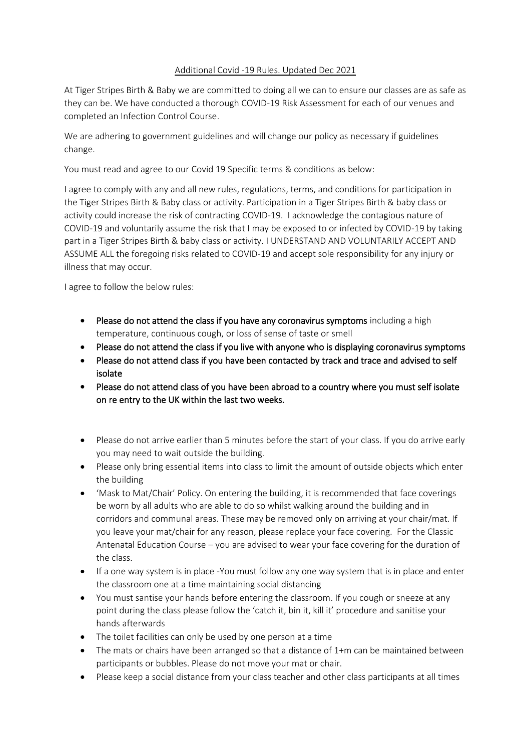## Additional Covid -19 Rules. Updated Dec 2021

At Tiger Stripes Birth & Baby we are committed to doing all we can to ensure our classes are as safe as they can be. We have conducted a thorough COVID-19 Risk Assessment for each of our venues and completed an Infection Control Course.

We are adhering to government guidelines and will change our policy as necessary if guidelines change.

You must read and agree to our Covid 19 Specific terms & conditions as below:

I agree to comply with any and all new rules, regulations, terms, and conditions for participation in the Tiger Stripes Birth & Baby class or activity. Participation in a Tiger Stripes Birth & baby class or activity could increase the risk of contracting COVID-19. I acknowledge the contagious nature of COVID-19 and voluntarily assume the risk that I may be exposed to or infected by COVID-19 by taking part in a Tiger Stripes Birth & baby class or activity. I UNDERSTAND AND VOLUNTARILY ACCEPT AND ASSUME ALL the foregoing risks related to COVID-19 and accept sole responsibility for any injury or illness that may occur.

I agree to follow the below rules:

- Please do not attend the class if you have any coronavirus symptoms including a high temperature, continuous cough, or loss of sense of taste or smell
- Please do not attend the class if you live with anyone who is displaying coronavirus symptoms
- Please do not attend class if you have been contacted by track and trace and advised to self isolate
- Please do not attend class of you have been abroad to a country where you must self isolate on re entry to the UK within the last two weeks.
- Please do not arrive earlier than 5 minutes before the start of your class. If you do arrive early you may need to wait outside the building.
- Please only bring essential items into class to limit the amount of outside objects which enter the building
- 'Mask to Mat/Chair' Policy. On entering the building, it is recommended that face coverings be worn by all adults who are able to do so whilst walking around the building and in corridors and communal areas. These may be removed only on arriving at your chair/mat. If you leave your mat/chair for any reason, please replace your face covering. For the Classic Antenatal Education Course – you are advised to wear your face covering for the duration of the class.
- If a one way system is in place -You must follow any one way system that is in place and enter the classroom one at a time maintaining social distancing
- You must santise your hands before entering the classroom. If you cough or sneeze at any point during the class please follow the 'catch it, bin it, kill it' procedure and sanitise your hands afterwards
- The toilet facilities can only be used by one person at a time
- The mats or chairs have been arranged so that a distance of 1+m can be maintained between participants or bubbles. Please do not move your mat or chair.
- Please keep a social distance from your class teacher and other class participants at all times